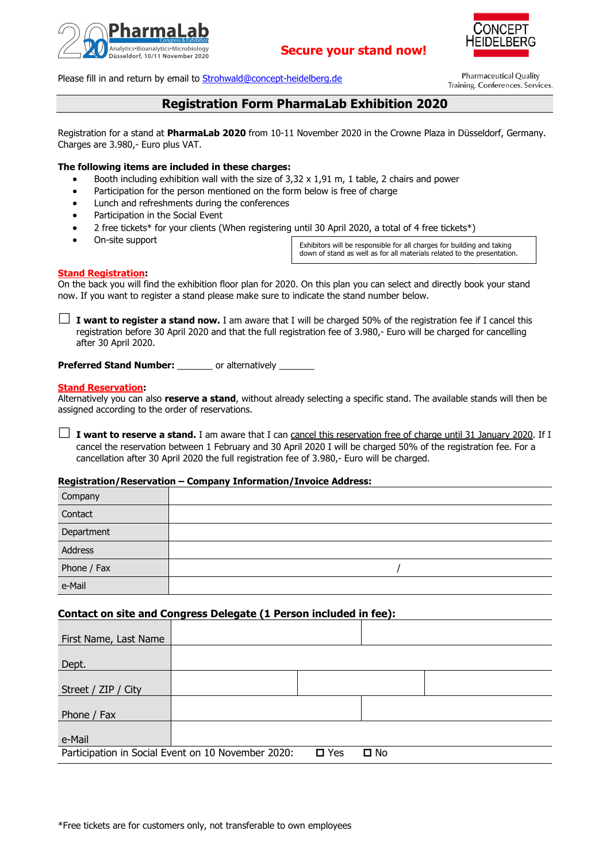

# **Secure your stand now!**



Please fill in and return by email to [Strohwald@concept-heidelberg.de](mailto:Strohwald@concept-heidelberg.de)

**Pharmaceutical Quality** Training. Conferences. Services.

# **Registration Form PharmaLab Exhibition 2020**

Registration for a stand at **PharmaLab 2020** from 10-11 November 2020 in the Crowne Plaza in Düsseldorf, Germany. Charges are 3.980,- Euro plus VAT.

### **The following items are included in these charges:**

- Booth including exhibition wall with the size of  $3,32 \times 1,91$  m, 1 table, 2 chairs and power
- Participation for the person mentioned on the form below is free of charge
- Lunch and refreshments during the conferences
- Participation in the Social Event
- 2 free tickets\* for your clients (When registering until 30 April 2020, a total of 4 free tickets\*)
- On-site support

Exhibitors will be responsible for all charges for building and taking down of stand as well as for all materials related to the presentation.

#### **Stand Registration:**

On the back you will find the exhibition floor plan for 2020. On this plan you can select and directly book your stand now. If you want to register a stand please make sure to indicate the stand number below.

 $\Box$  **I want to register a stand now.** I am aware that I will be charged 50% of the registration fee if I cancel this registration before 30 April 2020 and that the full registration fee of 3.980,- Euro will be charged for cancelling after 30 April 2020.

**Preferred Stand Number:** or alternatively

#### **Stand Reservation:**

Alternatively you can also **reserve a stand**, without already selecting a specific stand. The available stands will then be assigned according to the order of reservations.

**I want to reserve a stand.** I am aware that I can cancel this reservation free of charge until 31 January 2020. If I cancel the reservation between 1 February and 30 April 2020 I will be charged 50% of the registration fee. For a cancellation after 30 April 2020 the full registration fee of 3.980,- Euro will be charged.

#### **Registration/Reservation – Company Information/Invoice Address:**

| Company     |  |
|-------------|--|
| Contact     |  |
| Department  |  |
| Address     |  |
| Phone / Fax |  |
| e-Mail      |  |

# **Contact on site and Congress Delegate (1 Person included in fee):**

| First Name, Last Name |                                                    |               |              |  |
|-----------------------|----------------------------------------------------|---------------|--------------|--|
| Dept.                 |                                                    |               |              |  |
| Street / ZIP / City   |                                                    |               |              |  |
| Phone / Fax           |                                                    |               |              |  |
| e-Mail                |                                                    |               |              |  |
|                       | Participation in Social Event on 10 November 2020: | $\square$ Yes | $\square$ No |  |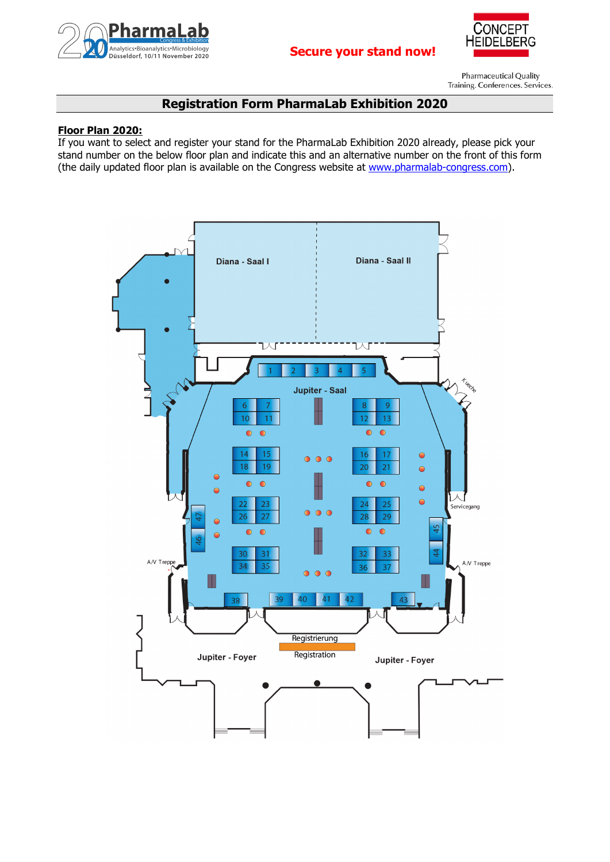



Pharmaceutical Quality Training. Conferences. Services.

# **Registration Form PharmaLab Exhibition 2020**

# **Floor Plan 2020:**

If you want to select and register your stand for the PharmaLab Exhibition 2020 already, please pick your stand number on the below floor plan and indicate this and an alternative number on the front of this form (the daily updated floor plan is available on the Congress website at [www.pharmalab-congress.com\)](http://www.pharmalab-congress.com/).

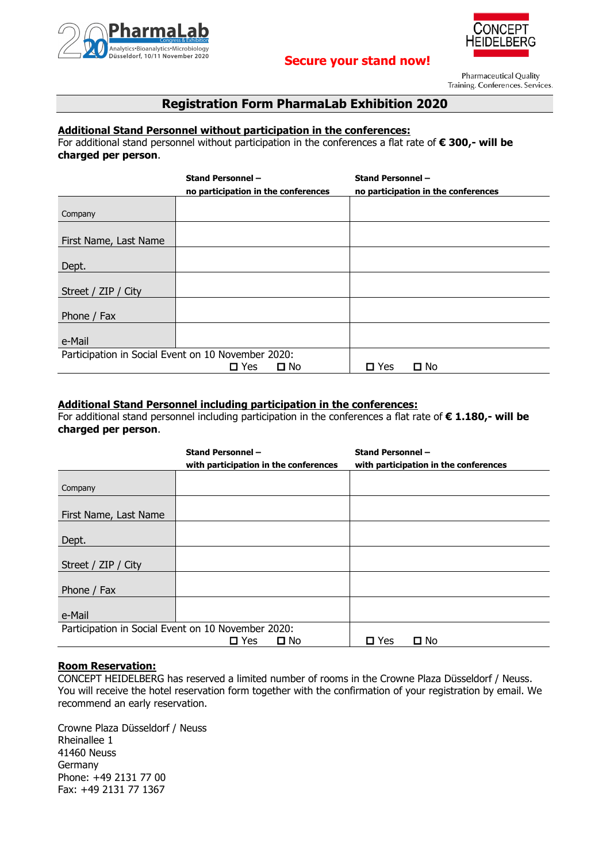

# **Secure your stand now!**



**Pharmaceutical Quality** Training. Conferences. Services.

# **Registration Form PharmaLab Exhibition 2020**

# **Additional Stand Personnel without participation in the conferences:**

For additional stand personnel without participation in the conferences a flat rate of **€ 300,- will be charged per person**.

|                                                    | <b>Stand Personnel -</b>            |              | <b>Stand Personnel -</b> |                                     |
|----------------------------------------------------|-------------------------------------|--------------|--------------------------|-------------------------------------|
|                                                    | no participation in the conferences |              |                          | no participation in the conferences |
|                                                    |                                     |              |                          |                                     |
| Company                                            |                                     |              |                          |                                     |
|                                                    |                                     |              |                          |                                     |
| First Name, Last Name                              |                                     |              |                          |                                     |
|                                                    |                                     |              |                          |                                     |
| Dept.                                              |                                     |              |                          |                                     |
|                                                    |                                     |              |                          |                                     |
| Street / ZIP / City                                |                                     |              |                          |                                     |
|                                                    |                                     |              |                          |                                     |
| Phone / Fax                                        |                                     |              |                          |                                     |
|                                                    |                                     |              |                          |                                     |
| e-Mail                                             |                                     |              |                          |                                     |
| Participation in Social Event on 10 November 2020: |                                     |              |                          |                                     |
|                                                    | $\square$ Yes                       | $\square$ No | $\Box$ Yes               | $\square$ No                        |

# **Additional Stand Personnel including participation in the conferences:**

For additional stand personnel including participation in the conferences a flat rate of **€ 1.180,- will be charged per person**.

|                       | <b>Stand Personnel -</b><br>with participation in the conferences | <b>Stand Personnel -</b><br>with participation in the conferences |
|-----------------------|-------------------------------------------------------------------|-------------------------------------------------------------------|
| Company               |                                                                   |                                                                   |
| First Name, Last Name |                                                                   |                                                                   |
| Dept.                 |                                                                   |                                                                   |
| Street / ZIP / City   |                                                                   |                                                                   |
| Phone / Fax           |                                                                   |                                                                   |
| e-Mail                |                                                                   |                                                                   |
|                       | Participation in Social Event on 10 November 2020:                |                                                                   |
|                       | $\Box$ Yes<br>$\square$ No                                        | $\square$ No<br>$\Box$ Yes                                        |

# **Room Reservation:**

CONCEPT HEIDELBERG has reserved a limited number of rooms in the Crowne Plaza Düsseldorf / Neuss. You will receive the hotel reservation form together with the confirmation of your registration by email. We recommend an early reservation.

Crowne Plaza Düsseldorf / Neuss Rheinallee 1 41460 Neuss Germany Phone: +49 2131 77 00 Fax: +49 2131 77 1367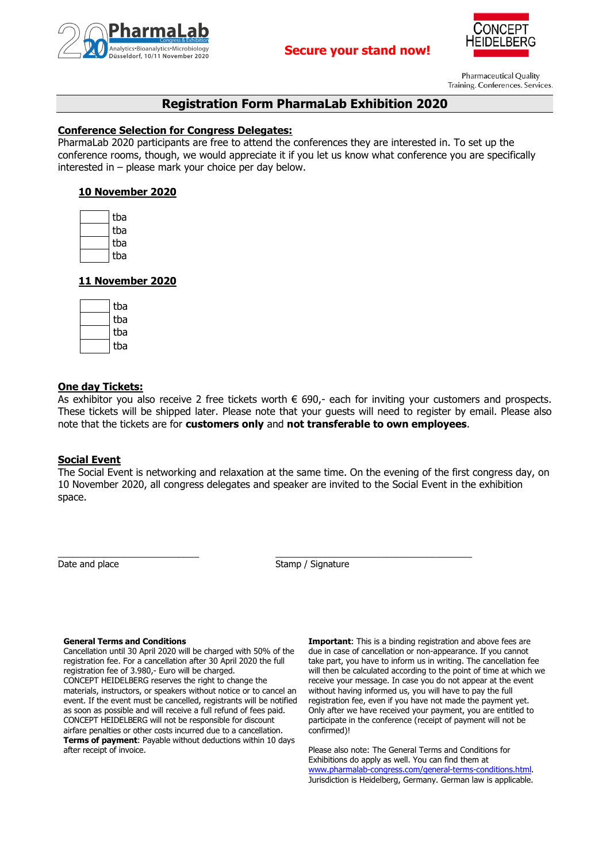



**Pharmaceutical Quality** Training. Conferences. Services.

# **Registration Form PharmaLab Exhibition 2020**

## **Conference Selection for Congress Delegates:**

PharmaLab 2020 participants are free to attend the conferences they are interested in. To set up the conference rooms, though, we would appreciate it if you let us know what conference you are specifically interested in – please mark your choice per day below.

## **10 November 2020**

| tba |
|-----|
| tba |
| tba |
| tba |

## **11 November 2020**

| tba |
|-----|
| tba |
| tba |
| tba |

## **One day Tickets:**

As exhibitor you also receive 2 free tickets worth  $\epsilon$  690,- each for inviting your customers and prospects. These tickets will be shipped later. Please note that your guests will need to register by email. Please also note that the tickets are for **customers only** and **not transferable to own employees**.

## **Social Event**

The Social Event is networking and relaxation at the same time. On the evening of the first congress day, on 10 November 2020, all congress delegates and speaker are invited to the Social Event in the exhibition space.

\_\_\_\_\_\_\_\_\_\_\_\_\_\_\_\_\_\_\_\_\_\_\_\_\_\_\_\_ \_\_\_\_\_\_\_\_\_\_\_\_\_\_\_\_\_\_\_\_\_\_\_\_\_\_\_\_\_\_\_\_\_\_\_\_\_\_\_ Date and place Stamp / Signature

#### **General Terms and Conditions**

Cancellation until 30 April 2020 will be charged with 50% of the registration fee. For a cancellation after 30 April 2020 the full registration fee of 3.980,- Euro will be charged. CONCEPT HEIDELBERG reserves the right to change the materials, instructors, or speakers without notice or to cancel an event. If the event must be cancelled, registrants will be notified as soon as possible and will receive a full refund of fees paid. CONCEPT HEIDELBERG will not be responsible for discount airfare penalties or other costs incurred due to a cancellation. **Terms of payment**: Payable without deductions within 10 days after receipt of invoice.

**Important:** This is a binding registration and above fees are due in case of cancellation or non-appearance. If you cannot take part, you have to inform us in writing. The cancellation fee will then be calculated according to the point of time at which we receive your message. In case you do not appear at the event without having informed us, you will have to pay the full registration fee, even if you have not made the payment yet. Only after we have received your payment, you are entitled to participate in the conference (receipt of payment will not be confirmed)!

Please also note: The General Terms and Conditions for Exhibitions do apply as well. You can find them at [www.pharmalab-congress.com/general-terms-conditions.html.](http://www.pharmalab-congress.com/general-terms-conditions.html) Jurisdiction is Heidelberg, Germany. German law is applicable.